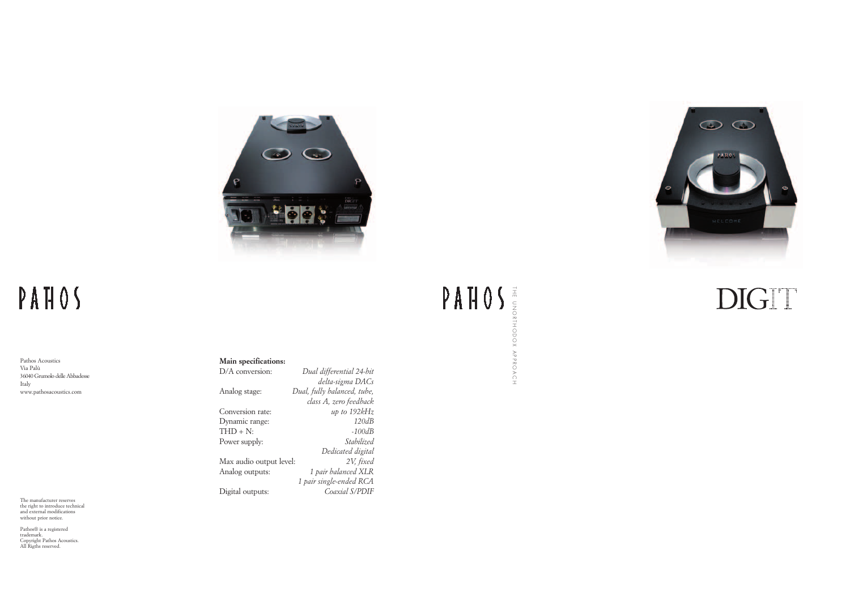

## PAHOS

THE UNORTHODOX APPROACH



### DIGIT

Pathos Acoustics Via Palù 36040 Grumolo delle Abbadesse Italy www.pathosacoustics.com

The manufacturer reserves the right to introduce technical and external modifications without prior notice.

Pathos® is a registered trademark. Copyright Pathos Acoustics. All Rigths reserved.

#### **Main specifications:**

| D/A conversion:         | Dual differential 24-bit    |
|-------------------------|-----------------------------|
|                         | delta-sigma DACs            |
| Analog stage:           | Dual, fully balanced, tube, |
|                         | class A, zero feedback      |
| Conversion rate:        | up to $192kHz$              |
| Dynamic range:          | 120dB                       |
| $THD + N$ :             | $-100dB$                    |
| Power supply:           | Stabilized                  |
|                         | Dedicated digital           |
| Max audio output level: | 2V, fixed                   |
| Analog outputs:         | 1 pair balanced XLR         |
|                         | 1 pair single-ended RCA     |
| Digital outputs:        | Coaxial S/PDIF              |
|                         |                             |

#